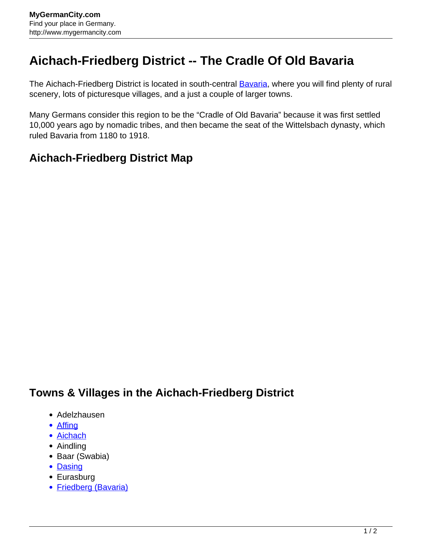## **Aichach-Friedberg District -- The Cradle Of Old Bavaria**

The Aichach-Friedberg District is located in south-central **Bavaria**, where you will find plenty of rural scenery, lots of picturesque villages, and a just a couple of larger towns.

Many Germans consider this region to be the "Cradle of Old Bavaria" because it was first settled 10,000 years ago by nomadic tribes, and then became the seat of the Wittelsbach dynasty, which ruled Bavaria from 1180 to 1918.

## **Aichach-Friedberg District Map**

## **Towns & Villages in the Aichach-Friedberg District**

- Adelzhausen
- Affina
- [Aichach](http://www.mygermancity.com/aichach)
- Aindling
- Baar (Swabia)
- [Dasing](http://www.mygermancity.com/dasing)
- Eurasburg
- [Friedberg \(Bavaria\)](http://www.mygermancity.com/friedberg-bavaria)